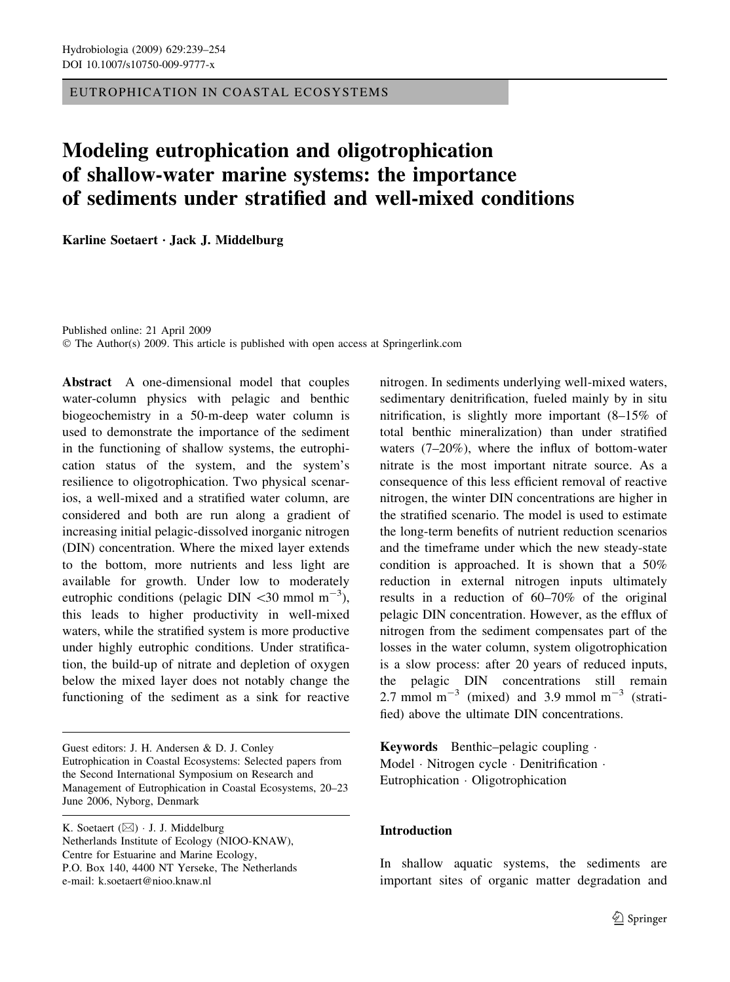EUTROPHICATION IN COASTAL ECOSYSTEMS

# Modeling eutrophication and oligotrophication of shallow-water marine systems: the importance of sediments under stratified and well-mixed conditions

Karline Soetaert · Jack J. Middelburg

Published online: 21 April 2009  $\odot$  The Author(s) 2009. This article is published with open access at Springerlink.com

Abstract A one-dimensional model that couples water-column physics with pelagic and benthic biogeochemistry in a 50-m-deep water column is used to demonstrate the importance of the sediment in the functioning of shallow systems, the eutrophication status of the system, and the system's resilience to oligotrophication. Two physical scenarios, a well-mixed and a stratified water column, are considered and both are run along a gradient of increasing initial pelagic-dissolved inorganic nitrogen (DIN) concentration. Where the mixed layer extends to the bottom, more nutrients and less light are available for growth. Under low to moderately eutrophic conditions (pelagic DIN  $\langle 30 \text{ mmol m}^{-3} \rangle$ ), this leads to higher productivity in well-mixed waters, while the stratified system is more productive under highly eutrophic conditions. Under stratification, the build-up of nitrate and depletion of oxygen below the mixed layer does not notably change the functioning of the sediment as a sink for reactive

Guest editors: J. H. Andersen & D. J. Conley Eutrophication in Coastal Ecosystems: Selected papers from the Second International Symposium on Research and Management of Eutrophication in Coastal Ecosystems, 20–23 June 2006, Nyborg, Denmark

K. Soetaert  $(\boxtimes) \cdot$  J. J. Middelburg Netherlands Institute of Ecology (NIOO-KNAW), Centre for Estuarine and Marine Ecology, P.O. Box 140, 4400 NT Yerseke, The Netherlands e-mail: k.soetaert@nioo.knaw.nl

nitrogen. In sediments underlying well-mixed waters, sedimentary denitrification, fueled mainly by in situ nitrification, is slightly more important (8–15% of total benthic mineralization) than under stratified waters (7–20%), where the influx of bottom-water nitrate is the most important nitrate source. As a consequence of this less efficient removal of reactive nitrogen, the winter DIN concentrations are higher in the stratified scenario. The model is used to estimate the long-term benefits of nutrient reduction scenarios and the timeframe under which the new steady-state condition is approached. It is shown that a 50% reduction in external nitrogen inputs ultimately results in a reduction of 60–70% of the original pelagic DIN concentration. However, as the efflux of nitrogen from the sediment compensates part of the losses in the water column, system oligotrophication is a slow process: after 20 years of reduced inputs, the pelagic DIN concentrations still remain 2.7 mmol  $m^{-3}$  (mixed) and 3.9 mmol  $m^{-3}$  (stratified) above the ultimate DIN concentrations.

Keywords Benthic–pelagic coupling · Model · Nitrogen cycle · Denitrification · Eutrophication · Oligotrophication

# Introduction

In shallow aquatic systems, the sediments are important sites of organic matter degradation and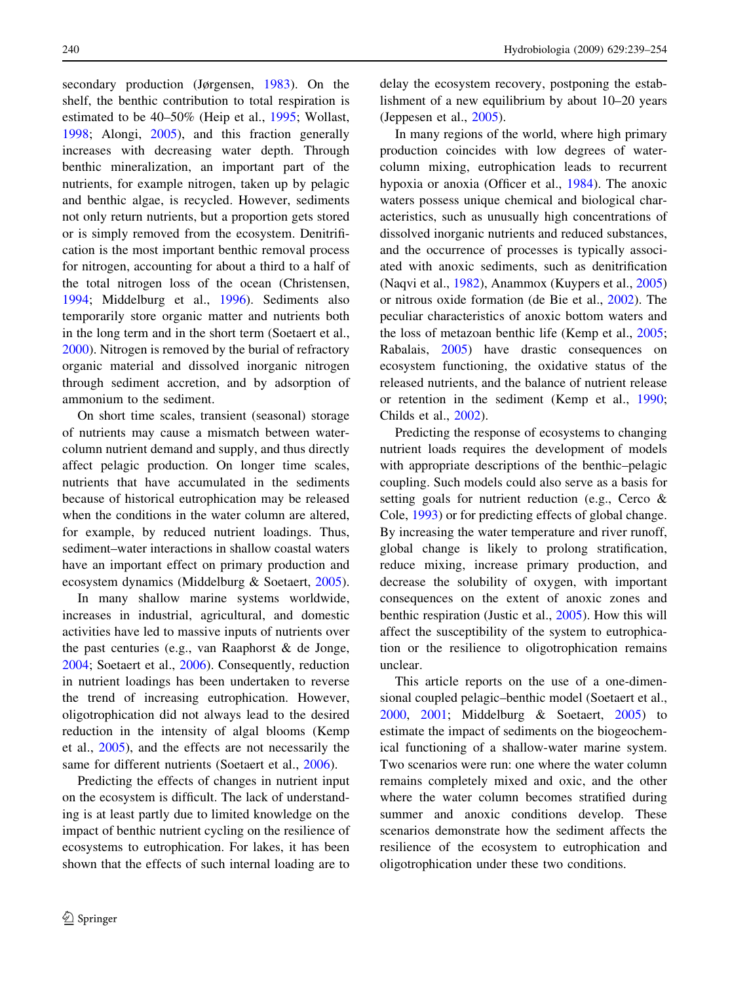secondary production (Jørgensen, [1983\)](#page-14-0). On the shelf, the benthic contribution to total respiration is estimated to be 40–50% (Heip et al., [1995](#page-14-0); Wollast, [1998;](#page-15-0) Alongi, [2005\)](#page-14-0), and this fraction generally increases with decreasing water depth. Through benthic mineralization, an important part of the nutrients, for example nitrogen, taken up by pelagic and benthic algae, is recycled. However, sediments not only return nutrients, but a proportion gets stored or is simply removed from the ecosystem. Denitrification is the most important benthic removal process for nitrogen, accounting for about a third to a half of the total nitrogen loss of the ocean (Christensen, [1994;](#page-14-0) Middelburg et al., [1996](#page-15-0)). Sediments also temporarily store organic matter and nutrients both in the long term and in the short term (Soetaert et al., [2000\)](#page-15-0). Nitrogen is removed by the burial of refractory organic material and dissolved inorganic nitrogen through sediment accretion, and by adsorption of ammonium to the sediment.

On short time scales, transient (seasonal) storage of nutrients may cause a mismatch between watercolumn nutrient demand and supply, and thus directly affect pelagic production. On longer time scales, nutrients that have accumulated in the sediments because of historical eutrophication may be released when the conditions in the water column are altered, for example, by reduced nutrient loadings. Thus, sediment–water interactions in shallow coastal waters have an important effect on primary production and ecosystem dynamics (Middelburg & Soetaert, [2005](#page-15-0)).

In many shallow marine systems worldwide, increases in industrial, agricultural, and domestic activities have led to massive inputs of nutrients over the past centuries (e.g., van Raaphorst & de Jonge, [2004;](#page-15-0) Soetaert et al., [2006\)](#page-15-0). Consequently, reduction in nutrient loadings has been undertaken to reverse the trend of increasing eutrophication. However, oligotrophication did not always lead to the desired reduction in the intensity of algal blooms (Kemp et al., [2005\)](#page-15-0), and the effects are not necessarily the same for different nutrients (Soetaert et al., [2006\)](#page-15-0).

Predicting the effects of changes in nutrient input on the ecosystem is difficult. The lack of understanding is at least partly due to limited knowledge on the impact of benthic nutrient cycling on the resilience of ecosystems to eutrophication. For lakes, it has been shown that the effects of such internal loading are to delay the ecosystem recovery, postponing the establishment of a new equilibrium by about 10–20 years (Jeppesen et al., [2005\)](#page-14-0).

In many regions of the world, where high primary production coincides with low degrees of watercolumn mixing, eutrophication leads to recurrent hypoxia or anoxia (Officer et al., [1984\)](#page-15-0). The anoxic waters possess unique chemical and biological characteristics, such as unusually high concentrations of dissolved inorganic nutrients and reduced substances, and the occurrence of processes is typically associated with anoxic sediments, such as denitrification (Naqvi et al., [1982\)](#page-15-0), Anammox (Kuypers et al., [2005\)](#page-15-0) or nitrous oxide formation (de Bie et al., [2002\)](#page-14-0). The peculiar characteristics of anoxic bottom waters and the loss of metazoan benthic life (Kemp et al., [2005](#page-15-0); Rabalais, [2005\)](#page-15-0) have drastic consequences on ecosystem functioning, the oxidative status of the released nutrients, and the balance of nutrient release or retention in the sediment (Kemp et al., [1990](#page-15-0); Childs et al., [2002](#page-14-0)).

Predicting the response of ecosystems to changing nutrient loads requires the development of models with appropriate descriptions of the benthic–pelagic coupling. Such models could also serve as a basis for setting goals for nutrient reduction (e.g., Cerco & Cole, [1993\)](#page-14-0) or for predicting effects of global change. By increasing the water temperature and river runoff, global change is likely to prolong stratification, reduce mixing, increase primary production, and decrease the solubility of oxygen, with important consequences on the extent of anoxic zones and benthic respiration (Justic et al., [2005\)](#page-14-0). How this will affect the susceptibility of the system to eutrophication or the resilience to oligotrophication remains unclear.

This article reports on the use of a one-dimensional coupled pelagic–benthic model (Soetaert et al., [2000,](#page-15-0) [2001](#page-15-0); Middelburg & Soetaert, [2005](#page-15-0)) to estimate the impact of sediments on the biogeochemical functioning of a shallow-water marine system. Two scenarios were run: one where the water column remains completely mixed and oxic, and the other where the water column becomes stratified during summer and anoxic conditions develop. These scenarios demonstrate how the sediment affects the resilience of the ecosystem to eutrophication and oligotrophication under these two conditions.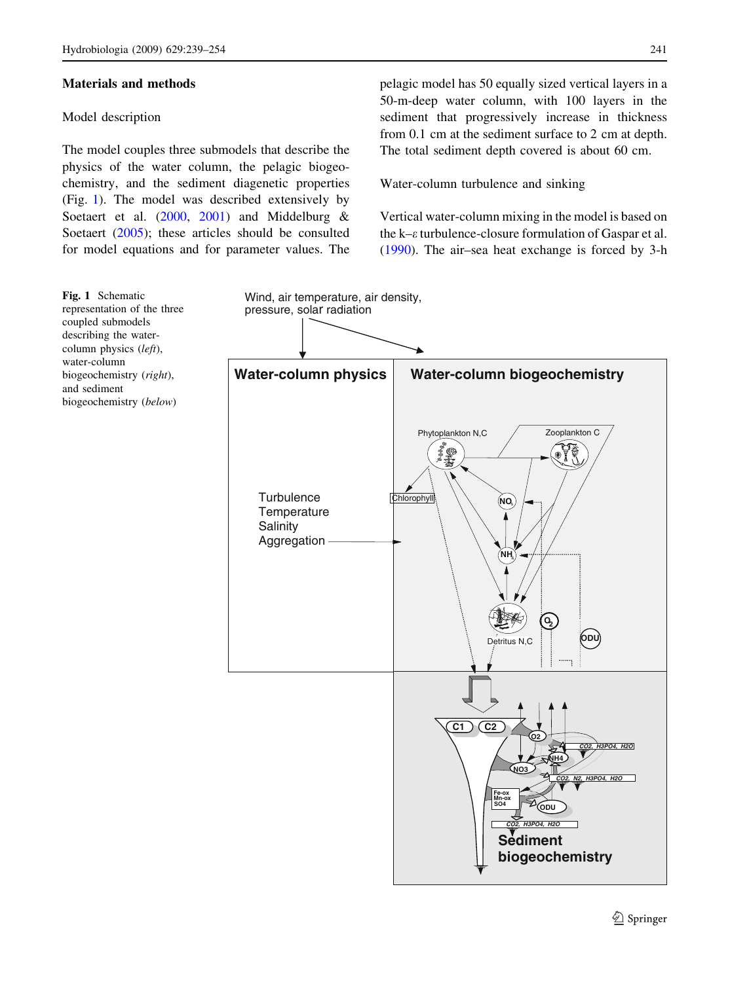# Materials and methods

#### Model description

The model couples three submodels that describe the physics of the water column, the pelagic biogeochemistry, and the sediment diagenetic properties (Fig. 1). The model was described extensively by Soetaert et al. [\(2000](#page-15-0), [2001](#page-15-0)) and Middelburg & Soetaert ([2005\)](#page-15-0); these articles should be consulted for model equations and for parameter values. The pelagic model has 50 equally sized vertical layers in a 50-m-deep water column, with 100 layers in the sediment that progressively increase in thickness from 0.1 cm at the sediment surface to 2 cm at depth. The total sediment depth covered is about 60 cm.

## Water-column turbulence and sinking

Vertical water-column mixing in the model is based on the k– $\varepsilon$  turbulence-closure formulation of Gaspar et al. [\(1990](#page-14-0)). The air–sea heat exchange is forced by 3-h

Fig. 1 Schematic representation of the three coupled submodels describing the watercolumn physics (left), water-column biogeochemistry (right), and sediment biogeochemistry (below)

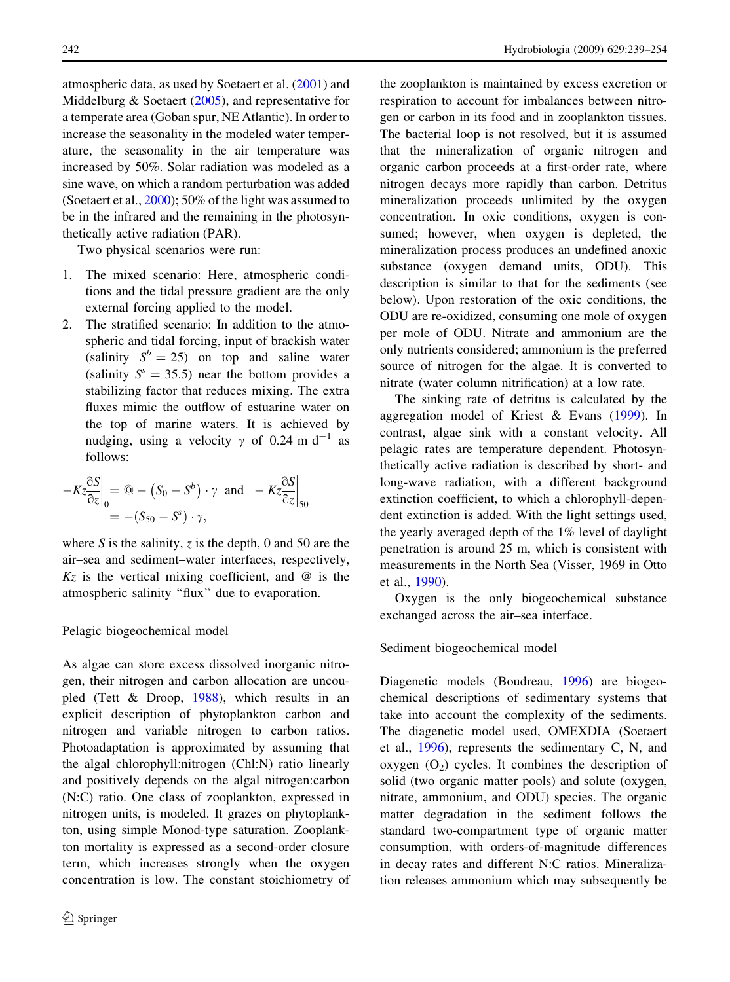atmospheric data, as used by Soetaert et al. [\(2001](#page-15-0)) and Middelburg & Soetaert [\(2005\)](#page-15-0), and representative for a temperate area (Goban spur, NE Atlantic). In order to increase the seasonality in the modeled water temperature, the seasonality in the air temperature was increased by 50%. Solar radiation was modeled as a sine wave, on which a random perturbation was added (Soetaert et al., [2000](#page-15-0)); 50% of the light was assumed to be in the infrared and the remaining in the photosynthetically active radiation (PAR).

Two physical scenarios were run:

- 1. The mixed scenario: Here, atmospheric conditions and the tidal pressure gradient are the only external forcing applied to the model.
- 2. The stratified scenario: In addition to the atmospheric and tidal forcing, input of brackish water (salinity  $S^b = 25$ ) on top and saline water (salinity  $S^s = 35.5$ ) near the bottom provides a stabilizing factor that reduces mixing. The extra fluxes mimic the outflow of estuarine water on the top of marine waters. It is achieved by nudging, using a velocity  $\gamma$  of 0.24 m d<sup>-1</sup> as follows:

$$
-Kz\frac{\partial S}{\partial z}\Big|_{0} = \textcircled{a} - (S_0 - S^b) \cdot \gamma \text{ and } -Kz\frac{\partial S}{\partial z}\Big|_{50}
$$
  
= -(S\_{50} - S^s) \cdot \gamma,

where S is the salinity, z is the depth, 0 and 50 are the air–sea and sediment–water interfaces, respectively,  $Kz$  is the vertical mixing coefficient, and  $\omega$  is the atmospheric salinity ''flux'' due to evaporation.

#### Pelagic biogeochemical model

As algae can store excess dissolved inorganic nitrogen, their nitrogen and carbon allocation are uncoupled (Tett & Droop, [1988\)](#page-15-0), which results in an explicit description of phytoplankton carbon and nitrogen and variable nitrogen to carbon ratios. Photoadaptation is approximated by assuming that the algal chlorophyll:nitrogen (Chl:N) ratio linearly and positively depends on the algal nitrogen:carbon (N:C) ratio. One class of zooplankton, expressed in nitrogen units, is modeled. It grazes on phytoplankton, using simple Monod-type saturation. Zooplankton mortality is expressed as a second-order closure term, which increases strongly when the oxygen concentration is low. The constant stoichiometry of the zooplankton is maintained by excess excretion or respiration to account for imbalances between nitrogen or carbon in its food and in zooplankton tissues. The bacterial loop is not resolved, but it is assumed that the mineralization of organic nitrogen and organic carbon proceeds at a first-order rate, where nitrogen decays more rapidly than carbon. Detritus mineralization proceeds unlimited by the oxygen concentration. In oxic conditions, oxygen is consumed; however, when oxygen is depleted, the mineralization process produces an undefined anoxic substance (oxygen demand units, ODU). This description is similar to that for the sediments (see below). Upon restoration of the oxic conditions, the ODU are re-oxidized, consuming one mole of oxygen per mole of ODU. Nitrate and ammonium are the only nutrients considered; ammonium is the preferred source of nitrogen for the algae. It is converted to nitrate (water column nitrification) at a low rate.

The sinking rate of detritus is calculated by the aggregation model of Kriest & Evans [\(1999](#page-15-0)). In contrast, algae sink with a constant velocity. All pelagic rates are temperature dependent. Photosynthetically active radiation is described by short- and long-wave radiation, with a different background extinction coefficient, to which a chlorophyll-dependent extinction is added. With the light settings used, the yearly averaged depth of the 1% level of daylight penetration is around 25 m, which is consistent with measurements in the North Sea (Visser, 1969 in Otto et al., [1990](#page-15-0)).

Oxygen is the only biogeochemical substance exchanged across the air–sea interface.

## Sediment biogeochemical model

Diagenetic models (Boudreau, [1996](#page-14-0)) are biogeochemical descriptions of sedimentary systems that take into account the complexity of the sediments. The diagenetic model used, OMEXDIA (Soetaert et al., [1996](#page-15-0)), represents the sedimentary C, N, and oxygen  $(O_2)$  cycles. It combines the description of solid (two organic matter pools) and solute (oxygen, nitrate, ammonium, and ODU) species. The organic matter degradation in the sediment follows the standard two-compartment type of organic matter consumption, with orders-of-magnitude differences in decay rates and different N:C ratios. Mineralization releases ammonium which may subsequently be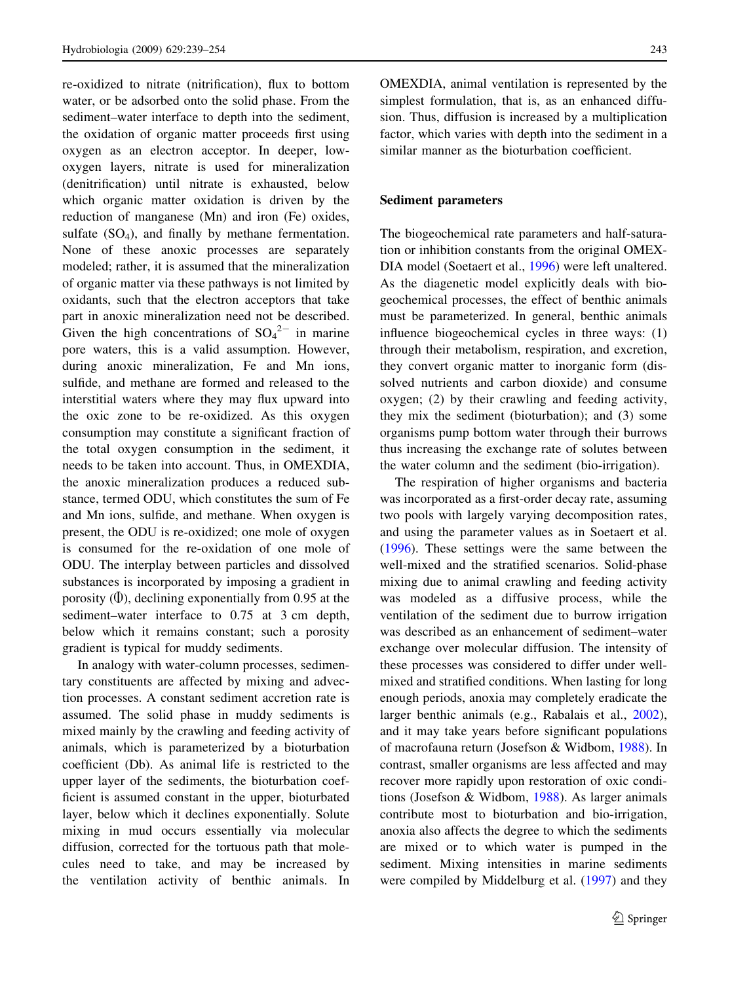re-oxidized to nitrate (nitrification), flux to bottom water, or be adsorbed onto the solid phase. From the sediment–water interface to depth into the sediment, the oxidation of organic matter proceeds first using oxygen as an electron acceptor. In deeper, lowoxygen layers, nitrate is used for mineralization (denitrification) until nitrate is exhausted, below which organic matter oxidation is driven by the reduction of manganese (Mn) and iron (Fe) oxides, sulfate  $(SO<sub>4</sub>)$ , and finally by methane fermentation. None of these anoxic processes are separately modeled; rather, it is assumed that the mineralization of organic matter via these pathways is not limited by oxidants, such that the electron acceptors that take part in anoxic mineralization need not be described. Given the high concentrations of  $SO_4^2$  in marine pore waters, this is a valid assumption. However, during anoxic mineralization, Fe and Mn ions, sulfide, and methane are formed and released to the interstitial waters where they may flux upward into the oxic zone to be re-oxidized. As this oxygen consumption may constitute a significant fraction of the total oxygen consumption in the sediment, it needs to be taken into account. Thus, in OMEXDIA, the anoxic mineralization produces a reduced substance, termed ODU, which constitutes the sum of Fe and Mn ions, sulfide, and methane. When oxygen is present, the ODU is re-oxidized; one mole of oxygen is consumed for the re-oxidation of one mole of ODU. The interplay between particles and dissolved substances is incorporated by imposing a gradient in porosity  $(\Phi)$ , declining exponentially from 0.95 at the sediment–water interface to 0.75 at 3 cm depth, below which it remains constant; such a porosity gradient is typical for muddy sediments.

In analogy with water-column processes, sedimentary constituents are affected by mixing and advection processes. A constant sediment accretion rate is assumed. The solid phase in muddy sediments is mixed mainly by the crawling and feeding activity of animals, which is parameterized by a bioturbation coefficient (Db). As animal life is restricted to the upper layer of the sediments, the bioturbation coefficient is assumed constant in the upper, bioturbated layer, below which it declines exponentially. Solute mixing in mud occurs essentially via molecular diffusion, corrected for the tortuous path that molecules need to take, and may be increased by the ventilation activity of benthic animals. In

OMEXDIA, animal ventilation is represented by the simplest formulation, that is, as an enhanced diffusion. Thus, diffusion is increased by a multiplication factor, which varies with depth into the sediment in a similar manner as the bioturbation coefficient.

## Sediment parameters

The biogeochemical rate parameters and half-saturation or inhibition constants from the original OMEX-DIA model (Soetaert et al., [1996](#page-15-0)) were left unaltered. As the diagenetic model explicitly deals with biogeochemical processes, the effect of benthic animals must be parameterized. In general, benthic animals influence biogeochemical cycles in three ways: (1) through their metabolism, respiration, and excretion, they convert organic matter to inorganic form (dissolved nutrients and carbon dioxide) and consume oxygen; (2) by their crawling and feeding activity, they mix the sediment (bioturbation); and (3) some organisms pump bottom water through their burrows thus increasing the exchange rate of solutes between the water column and the sediment (bio-irrigation).

The respiration of higher organisms and bacteria was incorporated as a first-order decay rate, assuming two pools with largely varying decomposition rates, and using the parameter values as in Soetaert et al. [\(1996](#page-15-0)). These settings were the same between the well-mixed and the stratified scenarios. Solid-phase mixing due to animal crawling and feeding activity was modeled as a diffusive process, while the ventilation of the sediment due to burrow irrigation was described as an enhancement of sediment–water exchange over molecular diffusion. The intensity of these processes was considered to differ under wellmixed and stratified conditions. When lasting for long enough periods, anoxia may completely eradicate the larger benthic animals (e.g., Rabalais et al., [2002](#page-15-0)), and it may take years before significant populations of macrofauna return (Josefson & Widbom, [1988](#page-14-0)). In contrast, smaller organisms are less affected and may recover more rapidly upon restoration of oxic conditions (Josefson & Widbom, [1988\)](#page-14-0). As larger animals contribute most to bioturbation and bio-irrigation, anoxia also affects the degree to which the sediments are mixed or to which water is pumped in the sediment. Mixing intensities in marine sediments were compiled by Middelburg et al. ([1997\)](#page-15-0) and they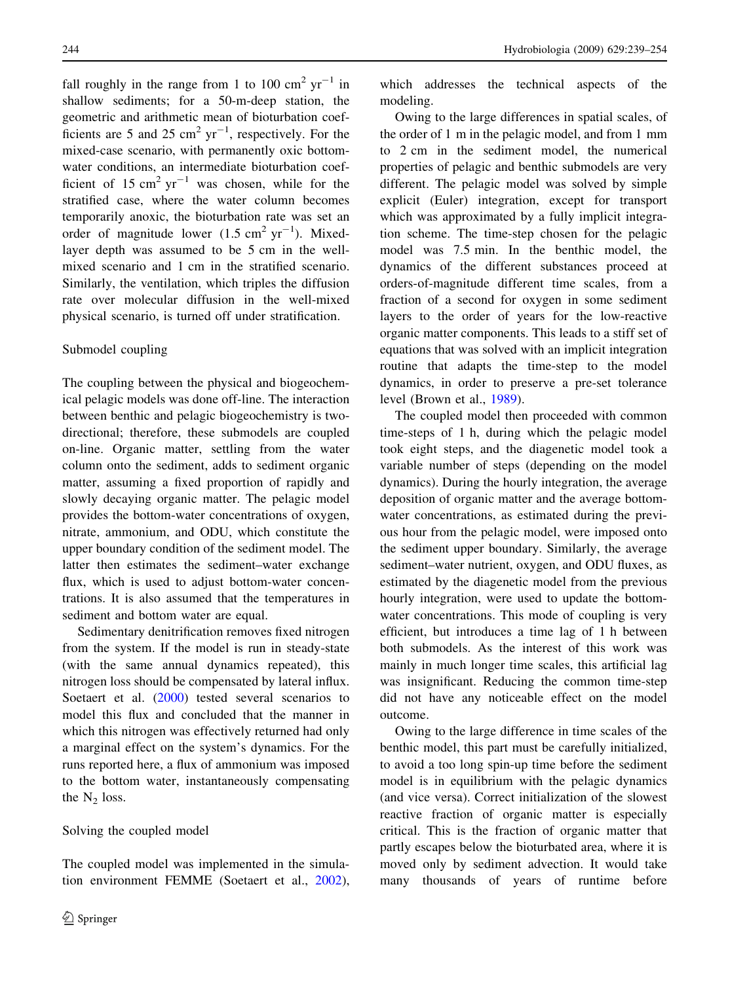fall roughly in the range from 1 to 100 cm<sup>2</sup> yr<sup>-1</sup> in shallow sediments; for a 50-m-deep station, the geometric and arithmetic mean of bioturbation coefficients are 5 and 25  $\text{cm}^2 \text{ yr}^{-1}$ , respectively. For the mixed-case scenario, with permanently oxic bottomwater conditions, an intermediate bioturbation coefficient of 15 cm<sup>2</sup> yr<sup>-1</sup> was chosen, while for the stratified case, where the water column becomes temporarily anoxic, the bioturbation rate was set an order of magnitude lower  $(1.5 \text{ cm}^2 \text{ yr}^{-1})$ . Mixedlayer depth was assumed to be 5 cm in the wellmixed scenario and 1 cm in the stratified scenario. Similarly, the ventilation, which triples the diffusion rate over molecular diffusion in the well-mixed physical scenario, is turned off under stratification.

#### Submodel coupling

The coupling between the physical and biogeochemical pelagic models was done off-line. The interaction between benthic and pelagic biogeochemistry is twodirectional; therefore, these submodels are coupled on-line. Organic matter, settling from the water column onto the sediment, adds to sediment organic matter, assuming a fixed proportion of rapidly and slowly decaying organic matter. The pelagic model provides the bottom-water concentrations of oxygen, nitrate, ammonium, and ODU, which constitute the upper boundary condition of the sediment model. The latter then estimates the sediment–water exchange flux, which is used to adjust bottom-water concentrations. It is also assumed that the temperatures in sediment and bottom water are equal.

Sedimentary denitrification removes fixed nitrogen from the system. If the model is run in steady-state (with the same annual dynamics repeated), this nitrogen loss should be compensated by lateral influx. Soetaert et al. [\(2000\)](#page-15-0) tested several scenarios to model this flux and concluded that the manner in which this nitrogen was effectively returned had only a marginal effect on the system's dynamics. For the runs reported here, a flux of ammonium was imposed to the bottom water, instantaneously compensating the  $N_2$  loss.

#### Solving the coupled model

The coupled model was implemented in the simulation environment FEMME (Soetaert et al., [2002](#page-15-0)), which addresses the technical aspects of the modeling.

Owing to the large differences in spatial scales, of the order of 1 m in the pelagic model, and from 1 mm to 2 cm in the sediment model, the numerical properties of pelagic and benthic submodels are very different. The pelagic model was solved by simple explicit (Euler) integration, except for transport which was approximated by a fully implicit integration scheme. The time-step chosen for the pelagic model was 7.5 min. In the benthic model, the dynamics of the different substances proceed at orders-of-magnitude different time scales, from a fraction of a second for oxygen in some sediment layers to the order of years for the low-reactive organic matter components. This leads to a stiff set of equations that was solved with an implicit integration routine that adapts the time-step to the model dynamics, in order to preserve a pre-set tolerance level (Brown et al., [1989\)](#page-14-0).

The coupled model then proceeded with common time-steps of 1 h, during which the pelagic model took eight steps, and the diagenetic model took a variable number of steps (depending on the model dynamics). During the hourly integration, the average deposition of organic matter and the average bottomwater concentrations, as estimated during the previous hour from the pelagic model, were imposed onto the sediment upper boundary. Similarly, the average sediment–water nutrient, oxygen, and ODU fluxes, as estimated by the diagenetic model from the previous hourly integration, were used to update the bottomwater concentrations. This mode of coupling is very efficient, but introduces a time lag of 1 h between both submodels. As the interest of this work was mainly in much longer time scales, this artificial lag was insignificant. Reducing the common time-step did not have any noticeable effect on the model outcome.

Owing to the large difference in time scales of the benthic model, this part must be carefully initialized, to avoid a too long spin-up time before the sediment model is in equilibrium with the pelagic dynamics (and vice versa). Correct initialization of the slowest reactive fraction of organic matter is especially critical. This is the fraction of organic matter that partly escapes below the bioturbated area, where it is moved only by sediment advection. It would take many thousands of years of runtime before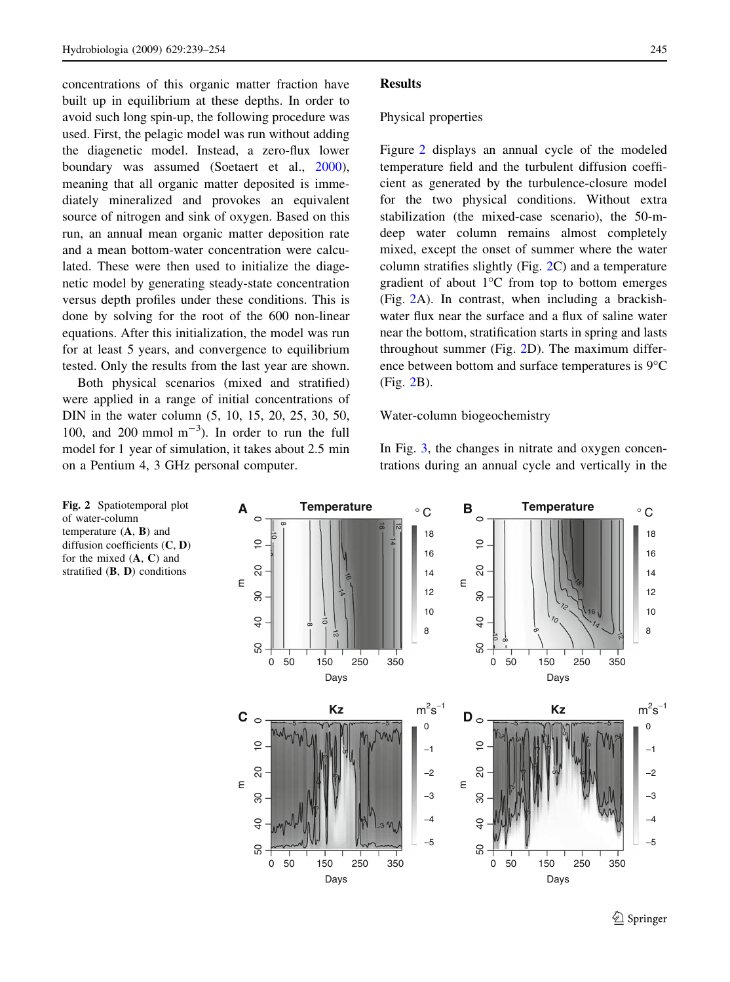concentrations of this organic matter fraction have built up in equilibrium at these depths. In order to avoid such long spin-up, the following procedure was used. First, the pelagic model was run without adding the diagenetic model. Instead, a zero-flux lower boundary was assumed (Soetaert et al., [2000](#page-15-0)), meaning that all organic matter deposited is immediately mineralized and provokes an equivalent source of nitrogen and sink of oxygen. Based on this run, an annual mean organic matter deposition rate and a mean bottom-water concentration were calculated. These were then used to initialize the diagenetic model by generating steady-state concentration versus depth profiles under these conditions. This is done by solving for the root of the 600 non-linear equations. After this initialization, the model was run for at least 5 years, and convergence to equilibrium tested. Only the results from the last year are shown.

Both physical scenarios (mixed and stratified) were applied in a range of initial concentrations of DIN in the water column (5, 10, 15, 20, 25, 30, 50, 100, and 200 mmol  $m^{-3}$ ). In order to run the full model for 1 year of simulation, it takes about 2.5 min on a Pentium 4, 3 GHz personal computer.

## Results

#### Physical properties

Figure 2 displays an annual cycle of the modeled temperature field and the turbulent diffusion coefficient as generated by the turbulence-closure model for the two physical conditions. Without extra stabilization (the mixed-case scenario), the 50-mdeep water column remains almost completely mixed, except the onset of summer where the water column stratifies slightly (Fig. 2C) and a temperature gradient of about  $1^{\circ}$ C from top to bottom emerges (Fig. 2A). In contrast, when including a brackishwater flux near the surface and a flux of saline water near the bottom, stratification starts in spring and lasts throughout summer (Fig. 2D). The maximum difference between bottom and surface temperatures is  $9^{\circ}$ C (Fig. 2B).

## Water-column biogeochemistry

In Fig. [3,](#page-7-0) the changes in nitrate and oxygen concentrations during an annual cycle and vertically in the

**A** C Temperature c B **Temperature** ° <sup>C</sup> 50 40 30 20 10 0 50 40 30 20 10 0 ě 16 12 18 18 **C**  $\frac{1}{2}$  **C**  $\frac{1}{2}$  **C**  $\frac{1}{2}$  **C**  $\frac{1}{2}$  **C**  $\frac{1}{2}$  **C**  $\frac{1}{2}$  **C**  $\frac{1}{2}$  **C**  $\frac{1}{2}$  **C**  $\frac{1}{2}$  **C**  $\frac{1}{2}$  **C**  $\frac{1}{2}$  **C**  $\frac{1}{2}$  **C**  $\frac{1}{2}$  **C**  $\frac{1}{2}$  **C**  $\frac{1}{2}$  **C**  $\frac{1}{2$  14  $\overline{a}$ 16 16 12 8 14 14  $\vec{e}$ E E  $\delta$ 12 12  $\frac{1}{2}$ 80  $z^2$ 10 10  $\frac{16}{7}$  10  $\overline{a}$  $7<sub>0</sub>$  8 8 8 12 8 10  $\approx$ ă **S** 0 50 150 250 350 0 50 150 250 350 Days Days **Kz**  $m^2 s^{-1}$ **Kz**  $m^2 s^{-1}$ 50 40 30 20 10 0 50 40 30 20 10 0  $\Omega$ 0 −5 −5 −5 −5 −5<br>G −5 −3 − −−3  $\overline{a}$  $\circ$ −3 −1 ¶<br>1 −1 −5 −3<br>−3<br>−3 −3 −5 20 −2 ສ −2 ₩ −3 −3  $\epsilon$ −<br>13<br>13 E −3 −3 −3 8 ¶ −4 −4  $\overline{a}$ −3 −3 −5 −5 50 င္တ 0 50 150 250 350 0 50 150 250 350 Days Days

Fig. 2 Spatiotemporal plot of water-column temperature (A, B) and diffusion coefficients (C, D) for the mixed  $(A, C)$  and stratified  $(B, D)$  conditions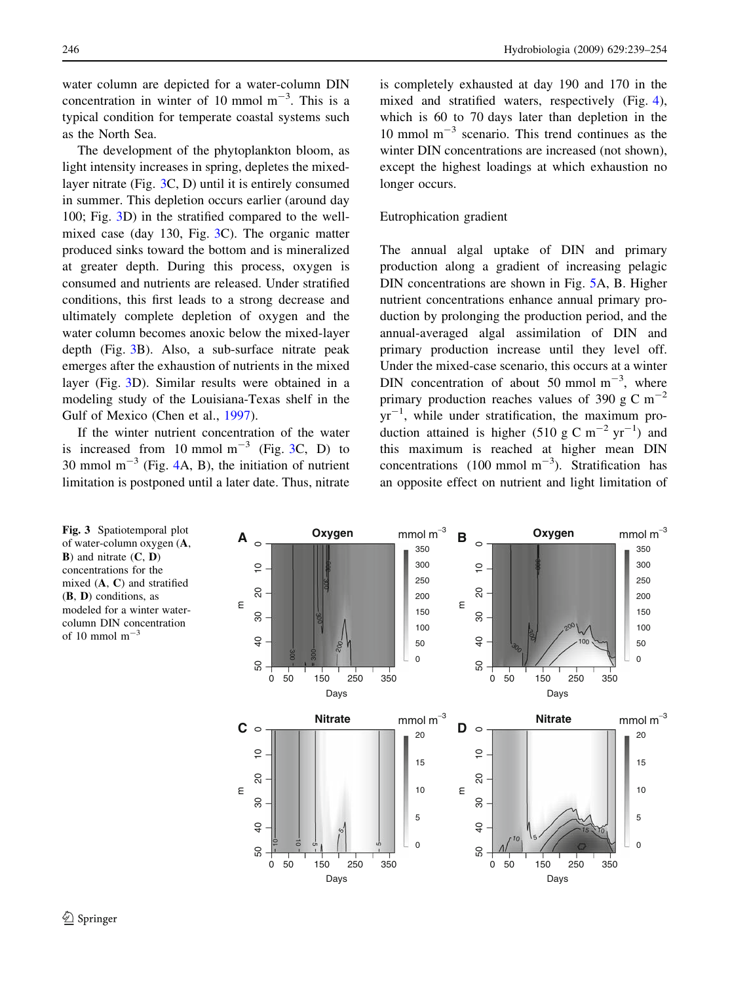<span id="page-7-0"></span>water column are depicted for a water-column DIN concentration in winter of 10 mmol  $m^{-3}$ . This is a typical condition for temperate coastal systems such as the North Sea.

The development of the phytoplankton bloom, as light intensity increases in spring, depletes the mixedlayer nitrate (Fig. 3C, D) until it is entirely consumed in summer. This depletion occurs earlier (around day 100; Fig. 3D) in the stratified compared to the wellmixed case (day 130, Fig. 3C). The organic matter produced sinks toward the bottom and is mineralized at greater depth. During this process, oxygen is consumed and nutrients are released. Under stratified conditions, this first leads to a strong decrease and ultimately complete depletion of oxygen and the water column becomes anoxic below the mixed-layer depth (Fig. 3B). Also, a sub-surface nitrate peak emerges after the exhaustion of nutrients in the mixed layer (Fig. 3D). Similar results were obtained in a modeling study of the Louisiana-Texas shelf in the Gulf of Mexico (Chen et al., [1997\)](#page-14-0).

If the winter nutrient concentration of the water is increased from 10 mmol  $m^{-3}$  (Fig. 3C, D) to 30 mmol  $m^{-3}$  (Fig. [4A](#page-8-0), B), the initiation of nutrient limitation is postponed until a later date. Thus, nitrate is completely exhausted at day 190 and 170 in the mixed and stratified waters, respectively (Fig. [4](#page-8-0)), which is 60 to 70 days later than depletion in the 10 mmol  $m^{-3}$  scenario. This trend continues as the winter DIN concentrations are increased (not shown), except the highest loadings at which exhaustion no longer occurs.

## Eutrophication gradient

The annual algal uptake of DIN and primary production along a gradient of increasing pelagic DIN concentrations are shown in Fig. [5](#page-8-0)A, B. Higher nutrient concentrations enhance annual primary production by prolonging the production period, and the annual-averaged algal assimilation of DIN and primary production increase until they level off. Under the mixed-case scenario, this occurs at a winter DIN concentration of about 50 mmol  $m^{-3}$ , where primary production reaches values of 390 g C  $m^{-2}$  $yr^{-1}$ , while under stratification, the maximum production attained is higher (510 g C m<sup>-2</sup> yr<sup>-1</sup>) and this maximum is reached at higher mean DIN concentrations (100 mmol  $m^{-3}$ ). Stratification has an opposite effect on nutrient and light limitation of

Fig. 3 Spatiotemporal plot of water-column oxygen (A, B) and nitrate (C, D) concentrations for the mixed (A, C) and stratified (B, D) conditions, as modeled for a winter watercolumn DIN concentration of 10 mmol  $m^{-3}$ 

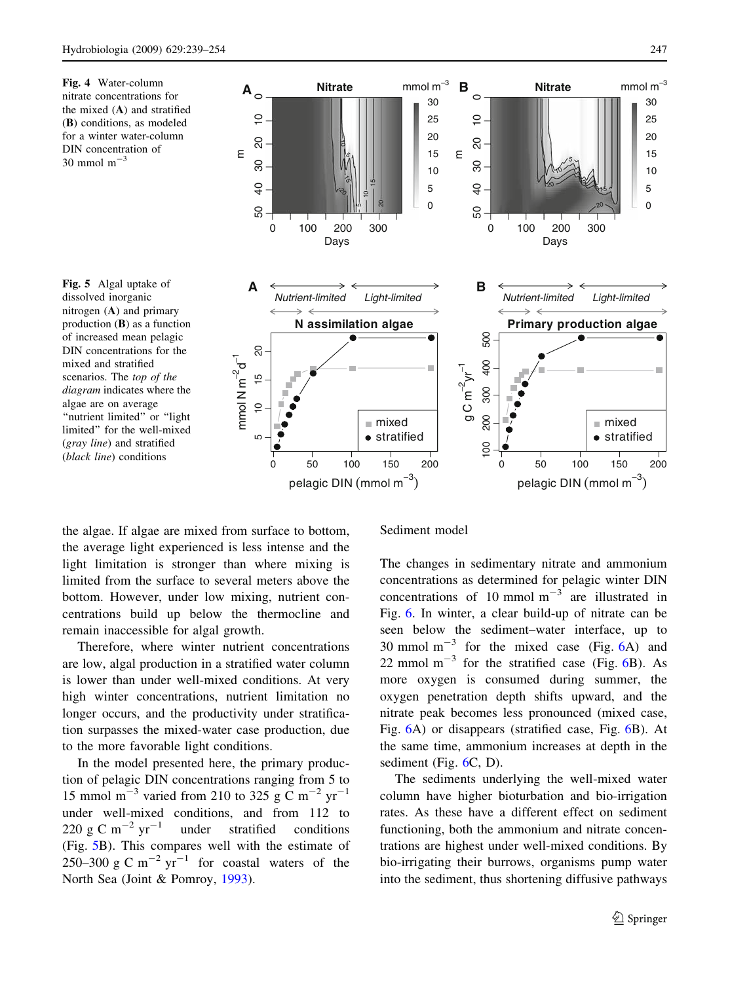nitrate concentrations for the mixed (A) and stratified (B) conditions, as modeled for a winter water-column DIN concentration of 30 mmol  $m^{-3}$ 

Fig. 5 Algal uptake of dissolved inorganic nitrogen (A) and primary

mixed and stratified scenarios. The top of the

algae are on average

(gray line) and stratified (black line) conditions

<span id="page-8-0"></span>

the algae. If algae are mixed from surface to bottom, the average light experienced is less intense and the light limitation is stronger than where mixing is limited from the surface to several meters above the bottom. However, under low mixing, nutrient concentrations build up below the thermocline and remain inaccessible for algal growth.

Therefore, where winter nutrient concentrations are low, algal production in a stratified water column is lower than under well-mixed conditions. At very high winter concentrations, nutrient limitation no longer occurs, and the productivity under stratification surpasses the mixed-water case production, due to the more favorable light conditions.

In the model presented here, the primary production of pelagic DIN concentrations ranging from 5 to 15 mmol m<sup>-3</sup> varied from 210 to 325 g C m<sup>-2</sup> yr<sup>-1</sup> under well-mixed conditions, and from 112 to 220 g C m<sup>-2</sup> yr<sup>-1</sup> under stratified conditions (Fig. 5B). This compares well with the estimate of 250–300 g C m<sup>-2</sup> yr<sup>-1</sup> for coastal waters of the North Sea (Joint & Pomroy, [1993\)](#page-14-0).

Sediment model

The changes in sedimentary nitrate and ammonium concentrations as determined for pelagic winter DIN concentrations of 10 mmol  $m^{-3}$  are illustrated in Fig. [6.](#page-9-0) In winter, a clear build-up of nitrate can be seen below the sediment–water interface, up to 30 mmol  $m^{-3}$  for the mixed case (Fig. [6A](#page-9-0)) and 22 mmol  $m^{-3}$  for the stratified case (Fig. [6B](#page-9-0)). As more oxygen is consumed during summer, the oxygen penetration depth shifts upward, and the nitrate peak becomes less pronounced (mixed case, Fig. [6A](#page-9-0)) or disappears (stratified case, Fig. [6B](#page-9-0)). At the same time, ammonium increases at depth in the sediment (Fig. [6C](#page-9-0), D).

The sediments underlying the well-mixed water column have higher bioturbation and bio-irrigation rates. As these have a different effect on sediment functioning, both the ammonium and nitrate concentrations are highest under well-mixed conditions. By bio-irrigating their burrows, organisms pump water into the sediment, thus shortening diffusive pathways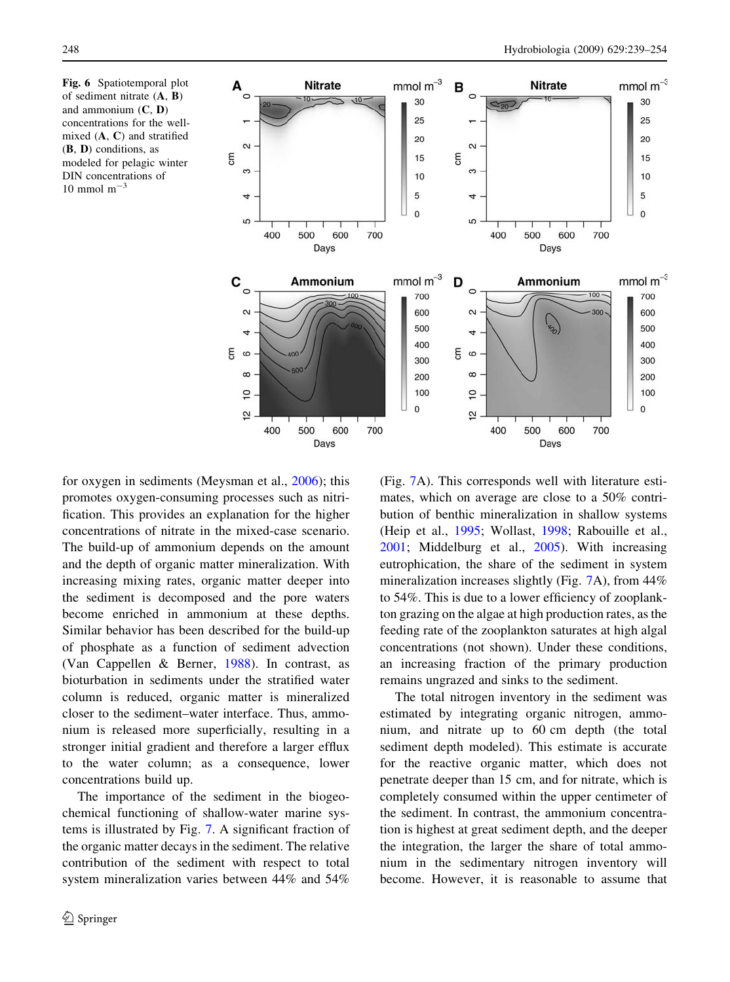<span id="page-9-0"></span>Fig. 6 Spatiotemporal plot of sediment nitrate (A, B) and ammonium (C, D) concentrations for the wellmixed  $(A, C)$  and stratified (B, D) conditions, as modeled for pelagic winter DIN concentrations of 10 mmol  $m^{-3}$ 



for oxygen in sediments (Meysman et al., [2006\)](#page-15-0); this promotes oxygen-consuming processes such as nitrification. This provides an explanation for the higher concentrations of nitrate in the mixed-case scenario. The build-up of ammonium depends on the amount and the depth of organic matter mineralization. With increasing mixing rates, organic matter deeper into the sediment is decomposed and the pore waters become enriched in ammonium at these depths. Similar behavior has been described for the build-up of phosphate as a function of sediment advection (Van Cappellen & Berner, [1988](#page-15-0)). In contrast, as bioturbation in sediments under the stratified water column is reduced, organic matter is mineralized closer to the sediment–water interface. Thus, ammonium is released more superficially, resulting in a stronger initial gradient and therefore a larger efflux to the water column; as a consequence, lower concentrations build up.

The importance of the sediment in the biogeochemical functioning of shallow-water marine systems is illustrated by Fig. [7.](#page-10-0) A significant fraction of the organic matter decays in the sediment. The relative contribution of the sediment with respect to total system mineralization varies between 44% and 54%

(Fig. [7](#page-10-0)A). This corresponds well with literature estimates, which on average are close to a 50% contribution of benthic mineralization in shallow systems (Heip et al., [1995](#page-14-0); Wollast, [1998;](#page-15-0) Rabouille et al., [2001;](#page-15-0) Middelburg et al., [2005](#page-15-0)). With increasing eutrophication, the share of the sediment in system mineralization increases slightly (Fig. [7A](#page-10-0)), from 44% to 54%. This is due to a lower efficiency of zooplankton grazing on the algae at high production rates, as the feeding rate of the zooplankton saturates at high algal concentrations (not shown). Under these conditions, an increasing fraction of the primary production remains ungrazed and sinks to the sediment.

The total nitrogen inventory in the sediment was estimated by integrating organic nitrogen, ammonium, and nitrate up to 60 cm depth (the total sediment depth modeled). This estimate is accurate for the reactive organic matter, which does not penetrate deeper than 15 cm, and for nitrate, which is completely consumed within the upper centimeter of the sediment. In contrast, the ammonium concentration is highest at great sediment depth, and the deeper the integration, the larger the share of total ammonium in the sedimentary nitrogen inventory will become. However, it is reasonable to assume that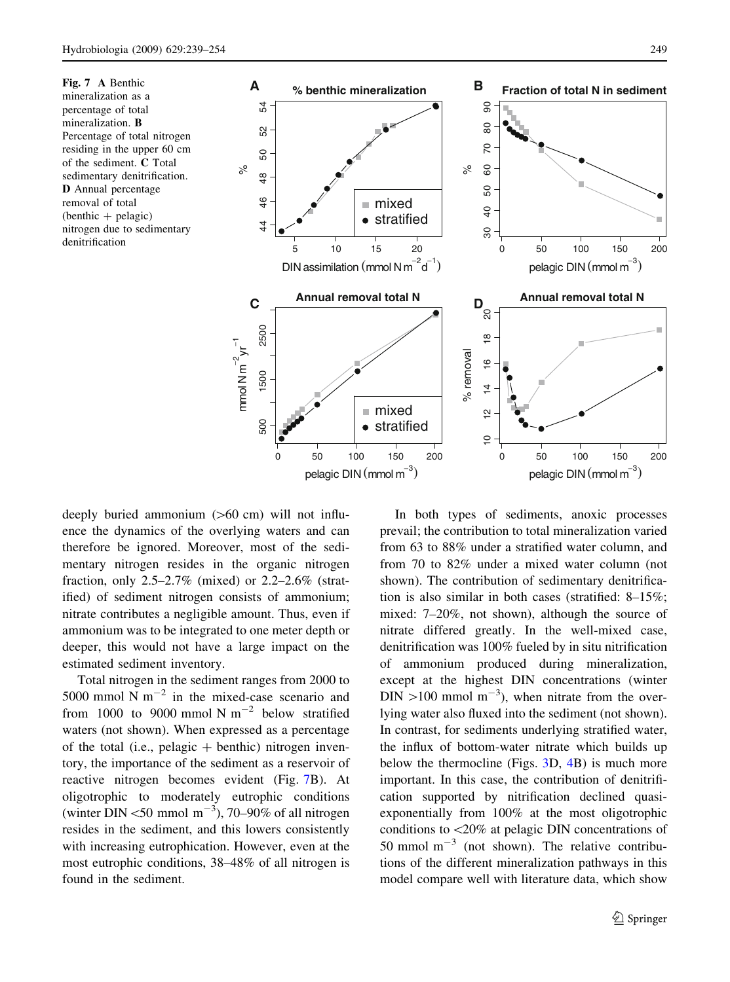<span id="page-10-0"></span>Fig. 7 A Benthic mineralization as a percentage of total mineralization. B Percentage of total nitrogen residing in the upper 60 cm of the sediment. C Total sedimentary denitrification. D Annual percentage removal of total  $(benthic + pelagic)$ nitrogen due to sedimentary denitrification



deeply buried ammonium  $(>60 \text{ cm})$  will not influence the dynamics of the overlying waters and can therefore be ignored. Moreover, most of the sedimentary nitrogen resides in the organic nitrogen fraction, only 2.5–2.7% (mixed) or 2.2–2.6% (stratified) of sediment nitrogen consists of ammonium; nitrate contributes a negligible amount. Thus, even if ammonium was to be integrated to one meter depth or deeper, this would not have a large impact on the estimated sediment inventory.

Total nitrogen in the sediment ranges from 2000 to 5000 mmol N  $m^{-2}$  in the mixed-case scenario and from 1000 to 9000 mmol N  $m^{-2}$  below stratified waters (not shown). When expressed as a percentage of the total (i.e., pelagic  $+$  benthic) nitrogen inventory, the importance of the sediment as a reservoir of reactive nitrogen becomes evident (Fig. 7B). At oligotrophic to moderately eutrophic conditions (winter DIN  $\leq 50$  mmol m<sup>-3</sup>), 70–90% of all nitrogen resides in the sediment, and this lowers consistently with increasing eutrophication. However, even at the most eutrophic conditions, 38–48% of all nitrogen is found in the sediment.

In both types of sediments, anoxic processes prevail; the contribution to total mineralization varied from 63 to 88% under a stratified water column, and from 70 to 82% under a mixed water column (not shown). The contribution of sedimentary denitrification is also similar in both cases (stratified: 8–15%; mixed: 7–20%, not shown), although the source of nitrate differed greatly. In the well-mixed case, denitrification was 100% fueled by in situ nitrification of ammonium produced during mineralization, except at the highest DIN concentrations (winter  $\text{DIN} > 100 \text{ mmol m}^{-3}$ , when nitrate from the overlying water also fluxed into the sediment (not shown). In contrast, for sediments underlying stratified water, the influx of bottom-water nitrate which builds up below the thermocline (Figs. [3D](#page-7-0), [4B](#page-8-0)) is much more important. In this case, the contribution of denitrification supported by nitrification declined quasiexponentially from 100% at the most oligotrophic conditions to  $\langle 20\%$  at pelagic DIN concentrations of 50 mmol  $m^{-3}$  (not shown). The relative contributions of the different mineralization pathways in this model compare well with literature data, which show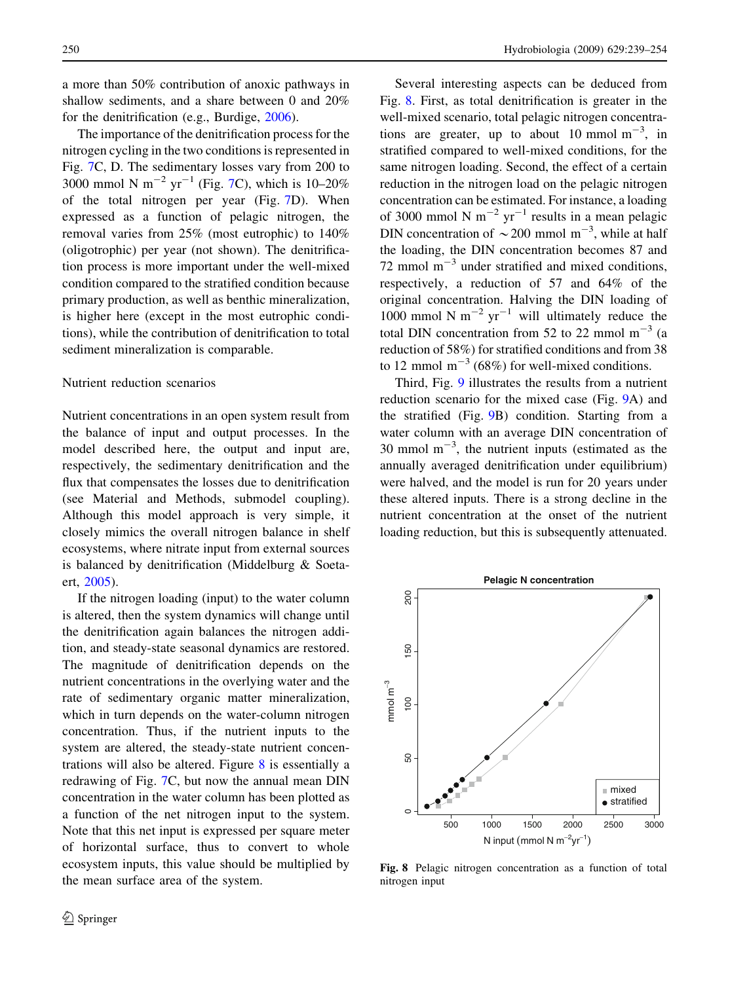<span id="page-11-0"></span>a more than 50% contribution of anoxic pathways in shallow sediments, and a share between 0 and 20% for the denitrification (e.g., Burdige, [2006](#page-14-0)).

The importance of the denitrification process for the nitrogen cycling in the two conditions is represented in Fig. [7C](#page-10-0), D. The sedimentary losses vary from 200 to 3000 mmol N m<sup>-2</sup> yr<sup>-1</sup> (Fig. [7](#page-10-0)C), which is 10-20% of the total nitrogen per year (Fig. [7](#page-10-0)D). When expressed as a function of pelagic nitrogen, the removal varies from 25% (most eutrophic) to 140% (oligotrophic) per year (not shown). The denitrification process is more important under the well-mixed condition compared to the stratified condition because primary production, as well as benthic mineralization, is higher here (except in the most eutrophic conditions), while the contribution of denitrification to total sediment mineralization is comparable.

## Nutrient reduction scenarios

Nutrient concentrations in an open system result from the balance of input and output processes. In the model described here, the output and input are, respectively, the sedimentary denitrification and the flux that compensates the losses due to denitrification (see Material and Methods, submodel coupling). Although this model approach is very simple, it closely mimics the overall nitrogen balance in shelf ecosystems, where nitrate input from external sources is balanced by denitrification (Middelburg & Soetaert, [2005](#page-15-0)).

If the nitrogen loading (input) to the water column is altered, then the system dynamics will change until the denitrification again balances the nitrogen addition, and steady-state seasonal dynamics are restored. The magnitude of denitrification depends on the nutrient concentrations in the overlying water and the rate of sedimentary organic matter mineralization, which in turn depends on the water-column nitrogen concentration. Thus, if the nutrient inputs to the system are altered, the steady-state nutrient concentrations will also be altered. Figure 8 is essentially a redrawing of Fig. [7C](#page-10-0), but now the annual mean DIN concentration in the water column has been plotted as a function of the net nitrogen input to the system. Note that this net input is expressed per square meter of horizontal surface, thus to convert to whole ecosystem inputs, this value should be multiplied by the mean surface area of the system.

Several interesting aspects can be deduced from Fig. 8. First, as total denitrification is greater in the well-mixed scenario, total pelagic nitrogen concentrations are greater, up to about 10 mmol  $m^{-3}$ , in stratified compared to well-mixed conditions, for the same nitrogen loading. Second, the effect of a certain reduction in the nitrogen load on the pelagic nitrogen concentration can be estimated. For instance, a loading of 3000 mmol N  $m^{-2}$  yr<sup>-1</sup> results in a mean pelagic DIN concentration of  $\sim$  200 mmol m<sup>-3</sup>, while at half the loading, the DIN concentration becomes 87 and 72 mmol  $m^{-3}$  under stratified and mixed conditions, respectively, a reduction of 57 and 64% of the original concentration. Halving the DIN loading of 1000 mmol N  $m^{-2}$  yr<sup>-1</sup> will ultimately reduce the total DIN concentration from 52 to 22 mmol  $m^{-3}$  (a reduction of 58%) for stratified conditions and from 38 to 12 mmol  $m^{-3}$  (68%) for well-mixed conditions.

Third, Fig. [9](#page-12-0) illustrates the results from a nutrient reduction scenario for the mixed case (Fig. [9A](#page-12-0)) and the stratified (Fig. [9](#page-12-0)B) condition. Starting from a water column with an average DIN concentration of 30 mmol  $m^{-3}$ , the nutrient inputs (estimated as the annually averaged denitrification under equilibrium) were halved, and the model is run for 20 years under these altered inputs. There is a strong decline in the nutrient concentration at the onset of the nutrient loading reduction, but this is subsequently attenuated.



Fig. 8 Pelagic nitrogen concentration as a function of total nitrogen input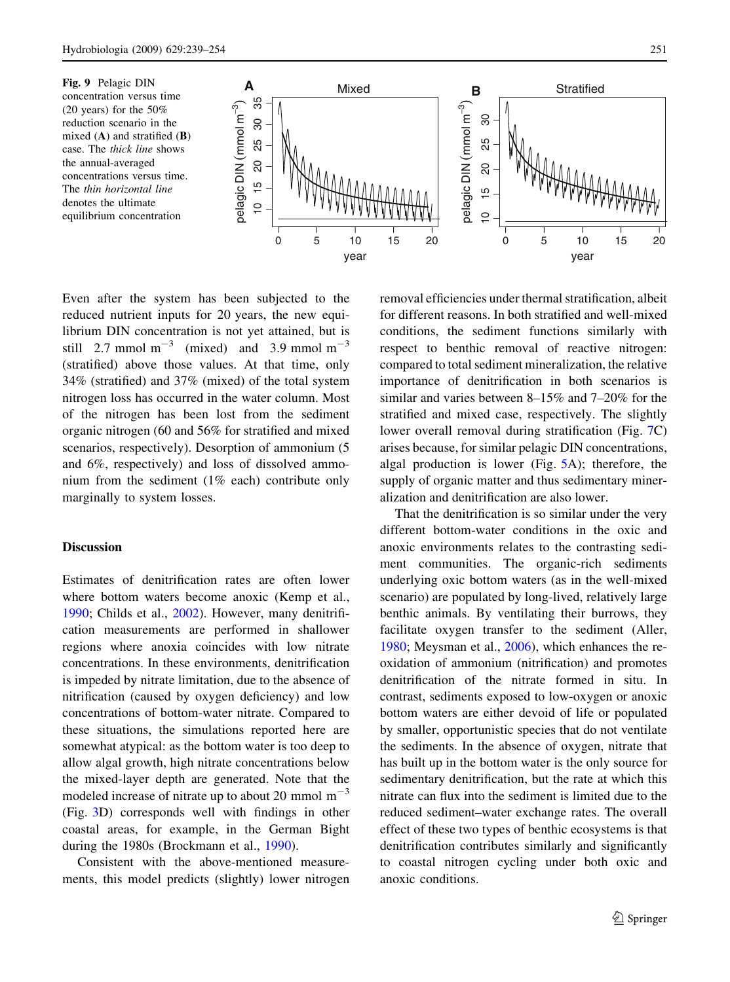concentrations versus time. The thin horizontal line denotes the ultimate equilibrium concentration

<span id="page-12-0"></span>

Even after the system has been subjected to the reduced nutrient inputs for 20 years, the new equilibrium DIN concentration is not yet attained, but is still 2.7 mmol  $m^{-3}$  (mixed) and 3.9 mmol  $m^{-3}$ (stratified) above those values. At that time, only 34% (stratified) and 37% (mixed) of the total system nitrogen loss has occurred in the water column. Most of the nitrogen has been lost from the sediment organic nitrogen (60 and 56% for stratified and mixed scenarios, respectively). Desorption of ammonium (5 and 6%, respectively) and loss of dissolved ammonium from the sediment (1% each) contribute only marginally to system losses.

## Discussion

Estimates of denitrification rates are often lower where bottom waters become anoxic (Kemp et al., [1990;](#page-15-0) Childs et al., [2002](#page-14-0)). However, many denitrification measurements are performed in shallower regions where anoxia coincides with low nitrate concentrations. In these environments, denitrification is impeded by nitrate limitation, due to the absence of nitrification (caused by oxygen deficiency) and low concentrations of bottom-water nitrate. Compared to these situations, the simulations reported here are somewhat atypical: as the bottom water is too deep to allow algal growth, high nitrate concentrations below the mixed-layer depth are generated. Note that the modeled increase of nitrate up to about 20 mmol  $m^{-3}$ (Fig. [3](#page-7-0)D) corresponds well with findings in other coastal areas, for example, in the German Bight during the 1980s (Brockmann et al., [1990](#page-14-0)).

Consistent with the above-mentioned measurements, this model predicts (slightly) lower nitrogen removal efficiencies under thermal stratification, albeit for different reasons. In both stratified and well-mixed conditions, the sediment functions similarly with respect to benthic removal of reactive nitrogen: compared to total sediment mineralization, the relative importance of denitrification in both scenarios is similar and varies between 8–15% and 7–20% for the stratified and mixed case, respectively. The slightly lower overall removal during stratification (Fig. [7](#page-10-0)C) arises because, for similar pelagic DIN concentrations, algal production is lower (Fig. [5A](#page-8-0)); therefore, the supply of organic matter and thus sedimentary mineralization and denitrification are also lower.

That the denitrification is so similar under the very different bottom-water conditions in the oxic and anoxic environments relates to the contrasting sediment communities. The organic-rich sediments underlying oxic bottom waters (as in the well-mixed scenario) are populated by long-lived, relatively large benthic animals. By ventilating their burrows, they facilitate oxygen transfer to the sediment (Aller, [1980;](#page-14-0) Meysman et al., [2006](#page-15-0)), which enhances the reoxidation of ammonium (nitrification) and promotes denitrification of the nitrate formed in situ. In contrast, sediments exposed to low-oxygen or anoxic bottom waters are either devoid of life or populated by smaller, opportunistic species that do not ventilate the sediments. In the absence of oxygen, nitrate that has built up in the bottom water is the only source for sedimentary denitrification, but the rate at which this nitrate can flux into the sediment is limited due to the reduced sediment–water exchange rates. The overall effect of these two types of benthic ecosystems is that denitrification contributes similarly and significantly to coastal nitrogen cycling under both oxic and anoxic conditions.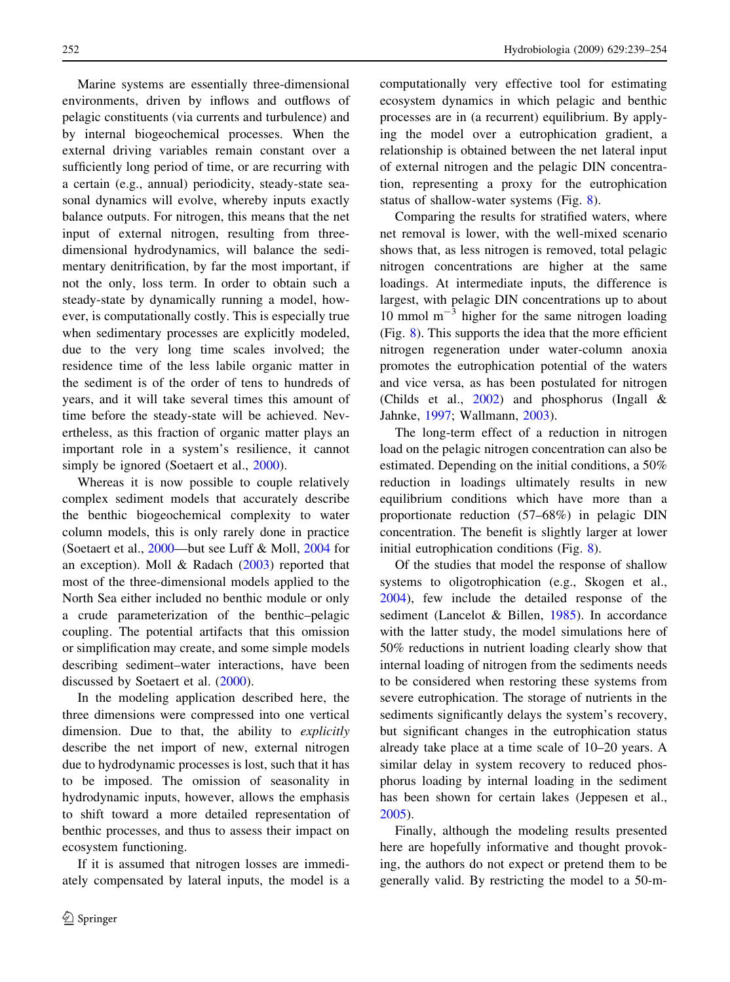Marine systems are essentially three-dimensional environments, driven by inflows and outflows of pelagic constituents (via currents and turbulence) and by internal biogeochemical processes. When the external driving variables remain constant over a sufficiently long period of time, or are recurring with a certain (e.g., annual) periodicity, steady-state seasonal dynamics will evolve, whereby inputs exactly balance outputs. For nitrogen, this means that the net input of external nitrogen, resulting from threedimensional hydrodynamics, will balance the sedimentary denitrification, by far the most important, if not the only, loss term. In order to obtain such a steady-state by dynamically running a model, however, is computationally costly. This is especially true when sedimentary processes are explicitly modeled, due to the very long time scales involved; the residence time of the less labile organic matter in the sediment is of the order of tens to hundreds of years, and it will take several times this amount of time before the steady-state will be achieved. Nevertheless, as this fraction of organic matter plays an important role in a system's resilience, it cannot simply be ignored (Soetaert et al., [2000\)](#page-15-0).

Whereas it is now possible to couple relatively complex sediment models that accurately describe the benthic biogeochemical complexity to water column models, this is only rarely done in practice (Soetaert et al., [2000—](#page-15-0)but see Luff & Moll, [2004](#page-15-0) for an exception). Moll & Radach [\(2003](#page-15-0)) reported that most of the three-dimensional models applied to the North Sea either included no benthic module or only a crude parameterization of the benthic–pelagic coupling. The potential artifacts that this omission or simplification may create, and some simple models describing sediment–water interactions, have been discussed by Soetaert et al. ([2000\)](#page-15-0).

In the modeling application described here, the three dimensions were compressed into one vertical dimension. Due to that, the ability to *explicitly* describe the net import of new, external nitrogen due to hydrodynamic processes is lost, such that it has to be imposed. The omission of seasonality in hydrodynamic inputs, however, allows the emphasis to shift toward a more detailed representation of benthic processes, and thus to assess their impact on ecosystem functioning.

If it is assumed that nitrogen losses are immediately compensated by lateral inputs, the model is a computationally very effective tool for estimating ecosystem dynamics in which pelagic and benthic processes are in (a recurrent) equilibrium. By applying the model over a eutrophication gradient, a relationship is obtained between the net lateral input of external nitrogen and the pelagic DIN concentration, representing a proxy for the eutrophication status of shallow-water systems (Fig. [8\)](#page-11-0).

Comparing the results for stratified waters, where net removal is lower, with the well-mixed scenario shows that, as less nitrogen is removed, total pelagic nitrogen concentrations are higher at the same loadings. At intermediate inputs, the difference is largest, with pelagic DIN concentrations up to about 10 mmol  $m^{-3}$  higher for the same nitrogen loading (Fig. [8](#page-11-0)). This supports the idea that the more efficient nitrogen regeneration under water-column anoxia promotes the eutrophication potential of the waters and vice versa, as has been postulated for nitrogen (Childs et al., [2002\)](#page-14-0) and phosphorus (Ingall & Jahnke, [1997](#page-14-0); Wallmann, [2003](#page-15-0)).

The long-term effect of a reduction in nitrogen load on the pelagic nitrogen concentration can also be estimated. Depending on the initial conditions, a 50% reduction in loadings ultimately results in new equilibrium conditions which have more than a proportionate reduction (57–68%) in pelagic DIN concentration. The benefit is slightly larger at lower initial eutrophication conditions (Fig. [8](#page-11-0)).

Of the studies that model the response of shallow systems to oligotrophication (e.g., Skogen et al., [2004\)](#page-15-0), few include the detailed response of the sediment (Lancelot & Billen, [1985](#page-15-0)). In accordance with the latter study, the model simulations here of 50% reductions in nutrient loading clearly show that internal loading of nitrogen from the sediments needs to be considered when restoring these systems from severe eutrophication. The storage of nutrients in the sediments significantly delays the system's recovery, but significant changes in the eutrophication status already take place at a time scale of 10–20 years. A similar delay in system recovery to reduced phosphorus loading by internal loading in the sediment has been shown for certain lakes (Jeppesen et al., [2005\)](#page-14-0).

Finally, although the modeling results presented here are hopefully informative and thought provoking, the authors do not expect or pretend them to be generally valid. By restricting the model to a 50-m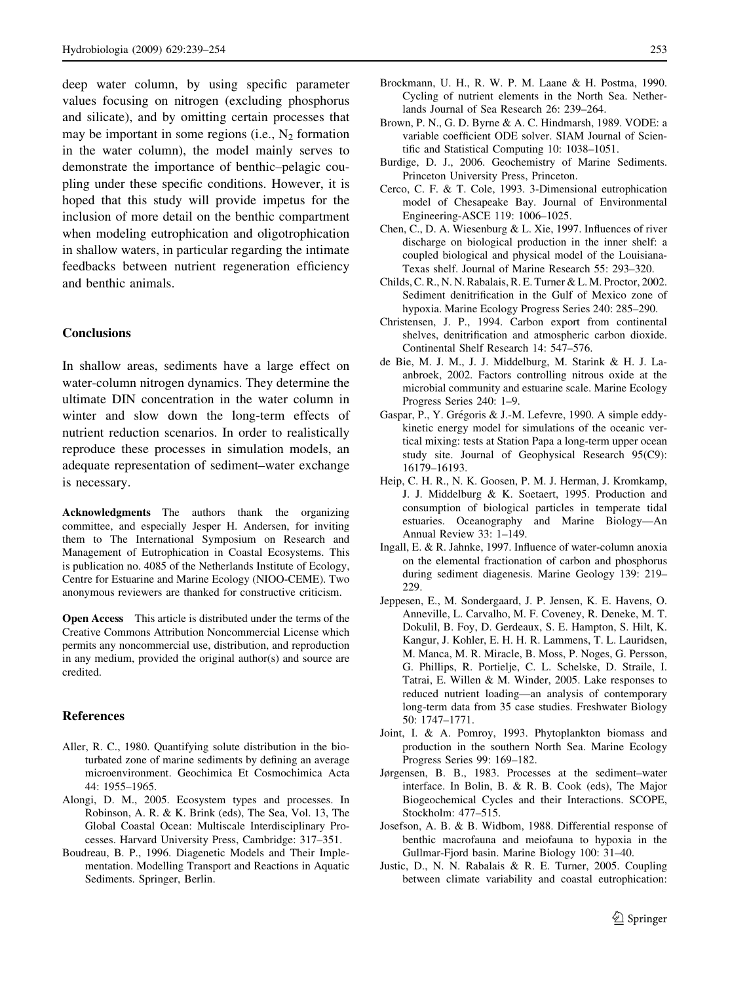<span id="page-14-0"></span>deep water column, by using specific parameter values focusing on nitrogen (excluding phosphorus and silicate), and by omitting certain processes that may be important in some regions (i.e.,  $N_2$  formation in the water column), the model mainly serves to demonstrate the importance of benthic–pelagic coupling under these specific conditions. However, it is hoped that this study will provide impetus for the inclusion of more detail on the benthic compartment when modeling eutrophication and oligotrophication in shallow waters, in particular regarding the intimate feedbacks between nutrient regeneration efficiency and benthic animals.

#### Conclusions

In shallow areas, sediments have a large effect on water-column nitrogen dynamics. They determine the ultimate DIN concentration in the water column in winter and slow down the long-term effects of nutrient reduction scenarios. In order to realistically reproduce these processes in simulation models, an adequate representation of sediment–water exchange is necessary.

Acknowledgments The authors thank the organizing committee, and especially Jesper H. Andersen, for inviting them to The International Symposium on Research and Management of Eutrophication in Coastal Ecosystems. This is publication no. 4085 of the Netherlands Institute of Ecology, Centre for Estuarine and Marine Ecology (NIOO-CEME). Two anonymous reviewers are thanked for constructive criticism.

Open Access This article is distributed under the terms of the Creative Commons Attribution Noncommercial License which permits any noncommercial use, distribution, and reproduction in any medium, provided the original author(s) and source are credited.

#### References

- Aller, R. C., 1980. Quantifying solute distribution in the bioturbated zone of marine sediments by defining an average microenvironment. Geochimica Et Cosmochimica Acta 44: 1955–1965.
- Alongi, D. M., 2005. Ecosystem types and processes. In Robinson, A. R. & K. Brink (eds), The Sea, Vol. 13, The Global Coastal Ocean: Multiscale Interdisciplinary Processes. Harvard University Press, Cambridge: 317–351.
- Boudreau, B. P., 1996. Diagenetic Models and Their Implementation. Modelling Transport and Reactions in Aquatic Sediments. Springer, Berlin.
- Brockmann, U. H., R. W. P. M. Laane & H. Postma, 1990. Cycling of nutrient elements in the North Sea. Netherlands Journal of Sea Research 26: 239–264.
- Brown, P. N., G. D. Byrne & A. C. Hindmarsh, 1989. VODE: a variable coefficient ODE solver. SIAM Journal of Scientific and Statistical Computing 10: 1038–1051.
- Burdige, D. J., 2006. Geochemistry of Marine Sediments. Princeton University Press, Princeton.
- Cerco, C. F. & T. Cole, 1993. 3-Dimensional eutrophication model of Chesapeake Bay. Journal of Environmental Engineering-ASCE 119: 1006–1025.
- Chen, C., D. A. Wiesenburg & L. Xie, 1997. Influences of river discharge on biological production in the inner shelf: a coupled biological and physical model of the Louisiana-Texas shelf. Journal of Marine Research 55: 293–320.
- Childs, C. R., N. N. Rabalais, R. E. Turner & L. M. Proctor, 2002. Sediment denitrification in the Gulf of Mexico zone of hypoxia. Marine Ecology Progress Series 240: 285–290.
- Christensen, J. P., 1994. Carbon export from continental shelves, denitrification and atmospheric carbon dioxide. Continental Shelf Research 14: 547–576.
- de Bie, M. J. M., J. J. Middelburg, M. Starink & H. J. Laanbroek, 2002. Factors controlling nitrous oxide at the microbial community and estuarine scale. Marine Ecology Progress Series 240: 1–9.
- Gaspar, P., Y. Grégoris & J.-M. Lefevre, 1990. A simple eddykinetic energy model for simulations of the oceanic vertical mixing: tests at Station Papa a long-term upper ocean study site. Journal of Geophysical Research 95(C9): 16179–16193.
- Heip, C. H. R., N. K. Goosen, P. M. J. Herman, J. Kromkamp, J. J. Middelburg & K. Soetaert, 1995. Production and consumption of biological particles in temperate tidal estuaries. Oceanography and Marine Biology—An Annual Review 33: 1–149.
- Ingall, E. & R. Jahnke, 1997. Influence of water-column anoxia on the elemental fractionation of carbon and phosphorus during sediment diagenesis. Marine Geology 139: 219– 229.
- Jeppesen, E., M. Sondergaard, J. P. Jensen, K. E. Havens, O. Anneville, L. Carvalho, M. F. Coveney, R. Deneke, M. T. Dokulil, B. Foy, D. Gerdeaux, S. E. Hampton, S. Hilt, K. Kangur, J. Kohler, E. H. H. R. Lammens, T. L. Lauridsen, M. Manca, M. R. Miracle, B. Moss, P. Noges, G. Persson, G. Phillips, R. Portielje, C. L. Schelske, D. Straile, I. Tatrai, E. Willen & M. Winder, 2005. Lake responses to reduced nutrient loading—an analysis of contemporary long-term data from 35 case studies. Freshwater Biology 50: 1747–1771.
- Joint, I. & A. Pomroy, 1993. Phytoplankton biomass and production in the southern North Sea. Marine Ecology Progress Series 99: 169–182.
- Jørgensen, B. B., 1983. Processes at the sediment–water interface. In Bolin, B. & R. B. Cook (eds), The Major Biogeochemical Cycles and their Interactions. SCOPE, Stockholm: 477–515.
- Josefson, A. B. & B. Widbom, 1988. Differential response of benthic macrofauna and meiofauna to hypoxia in the Gullmar-Fjord basin. Marine Biology 100: 31–40.
- Justic, D., N. N. Rabalais & R. E. Turner, 2005. Coupling between climate variability and coastal eutrophication: